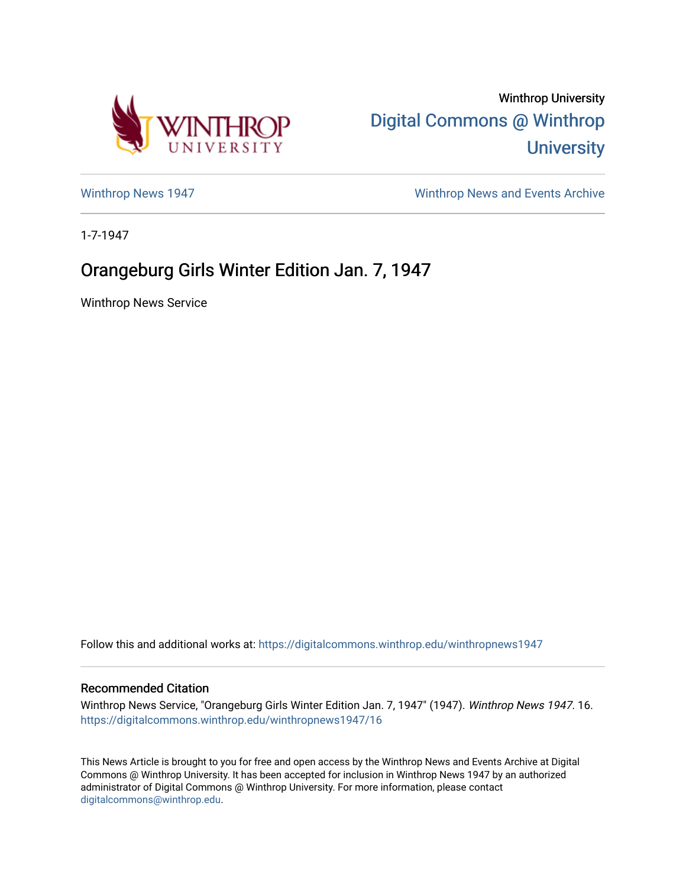

Winthrop University [Digital Commons @ Winthrop](https://digitalcommons.winthrop.edu/)  **University** 

[Winthrop News 1947](https://digitalcommons.winthrop.edu/winthropnews1947) Minthrop News and Events Archive

1-7-1947

## Orangeburg Girls Winter Edition Jan. 7, 1947

Winthrop News Service

Follow this and additional works at: [https://digitalcommons.winthrop.edu/winthropnews1947](https://digitalcommons.winthrop.edu/winthropnews1947?utm_source=digitalcommons.winthrop.edu%2Fwinthropnews1947%2F16&utm_medium=PDF&utm_campaign=PDFCoverPages) 

## Recommended Citation

Winthrop News Service, "Orangeburg Girls Winter Edition Jan. 7, 1947" (1947). Winthrop News 1947. 16. [https://digitalcommons.winthrop.edu/winthropnews1947/16](https://digitalcommons.winthrop.edu/winthropnews1947/16?utm_source=digitalcommons.winthrop.edu%2Fwinthropnews1947%2F16&utm_medium=PDF&utm_campaign=PDFCoverPages)

This News Article is brought to you for free and open access by the Winthrop News and Events Archive at Digital Commons @ Winthrop University. It has been accepted for inclusion in Winthrop News 1947 by an authorized administrator of Digital Commons @ Winthrop University. For more information, please contact [digitalcommons@winthrop.edu](mailto:digitalcommons@winthrop.edu).